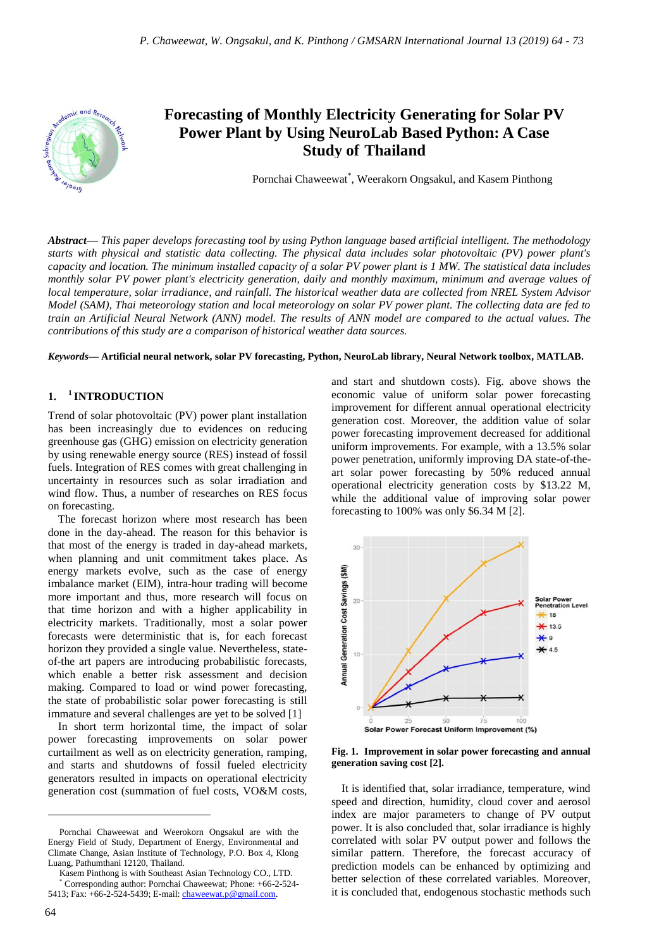

# **Forecasting of Monthly Electricity Generating for Solar PV Power Plant by Using NeuroLab Based Python: A Case Study of Thailand**

Pornchai Chaweewat\* , Weerakorn Ongsakul, and Kasem Pinthong

*Abstract***—** *This paper develops forecasting tool by using Python language based artificial intelligent. The methodology starts with physical and statistic data collecting. The physical data includes solar photovoltaic (PV) power plant's capacity and location. The minimum installed capacity of a solar PV power plant is 1 MW. The statistical data includes monthly solar PV power plant's electricity generation, daily and monthly maximum, minimum and average values of local temperature, solar irradiance, and rainfall. The historical weather data are collected from NREL System Advisor Model (SAM), Thai meteorology station and local meteorology on solar PV power plant. The collecting data are fed to train an Artificial Neural Network (ANN) model. The results of ANN model are compared to the actual values. The contributions of this study are a comparison of historical weather data sources.*

#### *Keywords***— Artificial neural network, solar PV forecasting, Python, NeuroLab library, Neural Network toolbox, MATLAB.**

#### **1. <sup>1</sup>** <sup>1</sup> **INTRODUCTION**

Trend of solar photovoltaic (PV) power plant installation has been increasingly due to evidences on reducing greenhouse gas (GHG) emission on electricity generation by using renewable energy source (RES) instead of fossil fuels. Integration of RES comes with great challenging in uncertainty in resources such as solar irradiation and wind flow. Thus, a number of researches on RES focus on forecasting.

The forecast horizon where most research has been done in the day-ahead. The reason for this behavior is that most of the energy is traded in day-ahead markets, when planning and unit commitment takes place. As energy markets evolve, such as the case of energy imbalance market (EIM), intra-hour trading will become more important and thus, more research will focus on that time horizon and with a higher applicability in electricity markets. Traditionally, most a solar power forecasts were deterministic that is, for each forecast horizon they provided a single value. Nevertheless, stateof-the art papers are introducing probabilistic forecasts, which enable a better risk assessment and decision making. Compared to load or wind power forecasting, the state of probabilistic solar power forecasting is still immature and several challenges are yet to be solved [1]

In short term horizontal time, the impact of solar power forecasting improvements on solar power curtailment as well as on electricity generation, ramping, and starts and shutdowns of fossil fueled electricity generators resulted in impacts on operational electricity generation cost (summation of fuel costs, VO&M costs, and start and shutdown costs). Fig. above shows the economic value of uniform solar power forecasting improvement for different annual operational electricity generation cost. Moreover, the addition value of solar power forecasting improvement decreased for additional uniform improvements. For example, with a 13.5% solar power penetration, uniformly improving DA state-of-theart solar power forecasting by 50% reduced annual operational electricity generation costs by \$13.22 M, while the additional value of improving solar power forecasting to 100% was only \$6.34 M [2].



**Fig. 1. Improvement in solar power forecasting and annual generation saving cost [2].**

It is identified that, solar irradiance, temperature, wind speed and direction, humidity, cloud cover and aerosol index are major parameters to change of PV output power. It is also concluded that, solar irradiance is highly correlated with solar PV output power and follows the similar pattern. Therefore, the forecast accuracy of prediction models can be enhanced by optimizing and better selection of these correlated variables. Moreover, it is concluded that, endogenous stochastic methods such

 $\overline{a}$ 

Pornchai Chaweewat and Weerokorn Ongsakul are with the Energy Field of Study, Department of Energy, Environmental and Climate Change, Asian Institute of Technology, P.O. Box 4, Klong Luang, Pathumthani 12120, Thailand.

Kasem Pinthong is with Southeast Asian Technology CO., LTD. Corresponding author: Pornchai Chaweewat; Phone: +66-2-524-

<sup>5413;</sup> Fax: +66-2-524-5439; E-mail[: chaweewat.p@gmail.com.](mailto:chaweewat.p@gmail.com)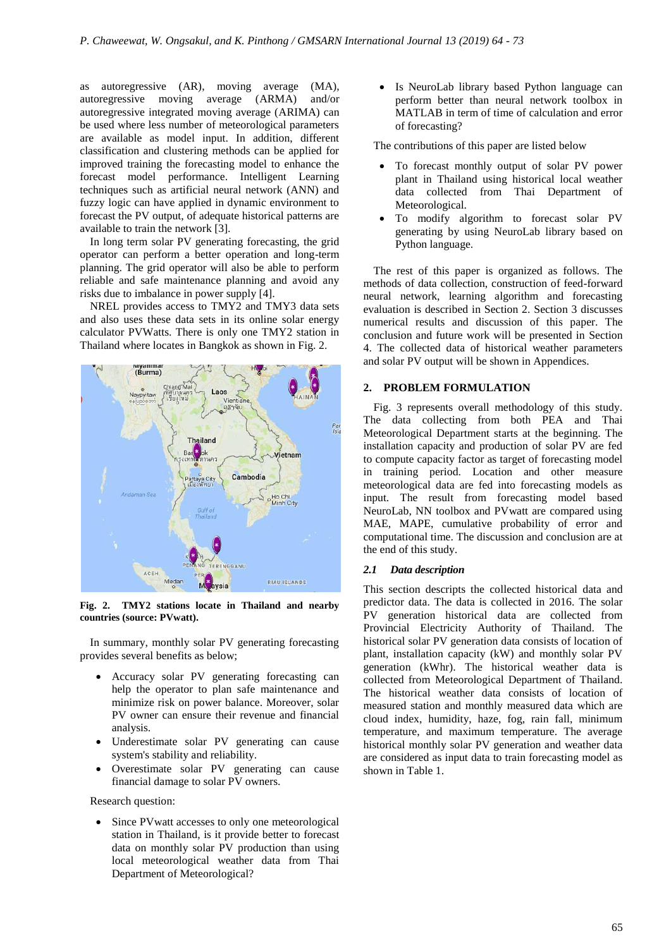as autoregressive (AR), moving average (MA), autoregressive moving average (ARMA) and/or autoregressive integrated moving average (ARIMA) can be used where less number of meteorological parameters are available as model input. In addition, different classification and clustering methods can be applied for improved training the forecasting model to enhance the forecast model performance. Intelligent Learning techniques such as artificial neural network (ANN) and fuzzy logic can have applied in dynamic environment to forecast the PV output, of adequate historical patterns are available to train the network [3].

In long term solar PV generating forecasting, the grid operator can perform a better operation and long-term planning. The grid operator will also be able to perform reliable and safe maintenance planning and avoid any risks due to imbalance in power supply [4].

NREL provides access to TMY2 and TMY3 data sets and also uses these data sets in its online solar energy calculator PVWatts. There is only one TMY2 station in Thailand where locates in Bangkok as shown in Fig. 2.



**Fig. 2. TMY2 stations locate in Thailand and nearby countries (source: PVwatt).**

In summary, monthly solar PV generating forecasting provides several benefits as below;

- Accuracy solar PV generating forecasting can help the operator to plan safe maintenance and minimize risk on power balance. Moreover, solar PV owner can ensure their revenue and financial analysis.
- Underestimate solar PV generating can cause system's stability and reliability.
- Overestimate solar PV generating can cause financial damage to solar PV owners.

Research question:

 Since PVwatt accesses to only one meteorological station in Thailand, is it provide better to forecast data on monthly solar PV production than using local meteorological weather data from Thai Department of Meteorological?

 Is NeuroLab library based Python language can perform better than neural network toolbox in MATLAB in term of time of calculation and error of forecasting?

The contributions of this paper are listed below

- To forecast monthly output of solar PV power plant in Thailand using historical local weather data collected from Thai Department of Meteorological.
- To modify algorithm to forecast solar PV generating by using NeuroLab library based on Python language.

The rest of this paper is organized as follows. The methods of data collection, construction of feed-forward neural network, learning algorithm and forecasting evaluation is described in Section 2. Section 3 discusses numerical results and discussion of this paper. The conclusion and future work will be presented in Section 4. The collected data of historical weather parameters and solar PV output will be shown in Appendices.

#### **2. PROBLEM FORMULATION**

Fig. 3 represents overall methodology of this study. The data collecting from both PEA and Thai Meteorological Department starts at the beginning. The installation capacity and production of solar PV are fed to compute capacity factor as target of forecasting model in training period. Location and other measure meteorological data are fed into forecasting models as input. The result from forecasting model based NeuroLab, NN toolbox and PVwatt are compared using MAE, MAPE, cumulative probability of error and computational time. The discussion and conclusion are at the end of this study.

### *2.1 Data description*

This section descripts the collected historical data and predictor data. The data is collected in 2016. The solar PV generation historical data are collected from Provincial Electricity Authority of Thailand. The historical solar PV generation data consists of location of plant, installation capacity (kW) and monthly solar PV generation (kWhr). The historical weather data is collected from Meteorological Department of Thailand. The historical weather data consists of location of measured station and monthly measured data which are cloud index, humidity, haze, fog, rain fall, minimum temperature, and maximum temperature. The average historical monthly solar PV generation and weather data are considered as input data to train forecasting model as shown in Table 1.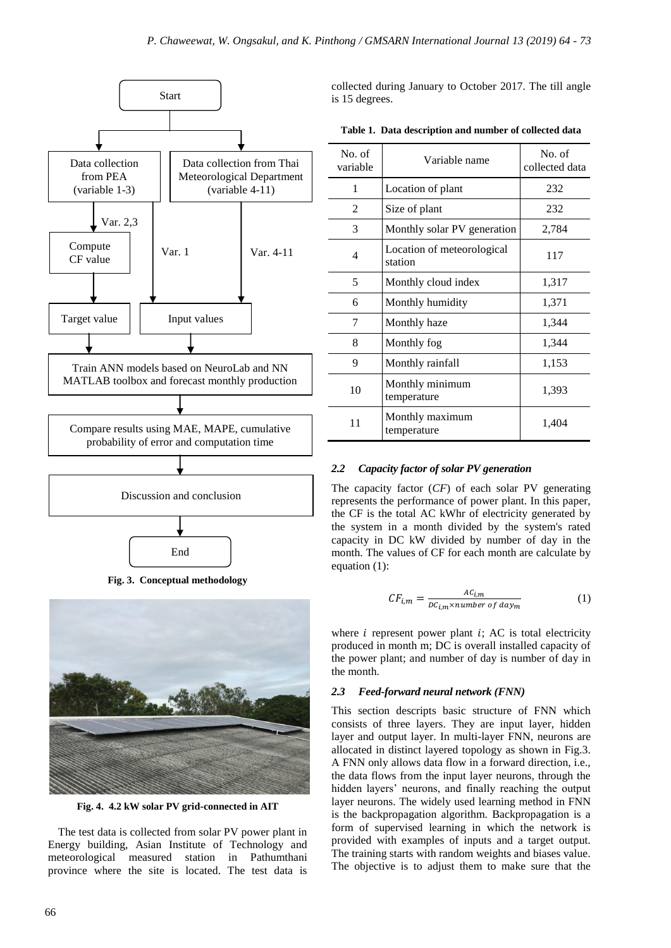

**Fig. 3. Conceptual methodology**



**Fig. 4. 4.2 kW solar PV grid-connected in AIT**

The test data is collected from solar PV power plant in Energy building, Asian Institute of Technology and meteorological measured station in Pathumthani province where the site is located. The test data is collected during January to October 2017. The till angle is 15 degrees.

|  |  | Table 1. Data description and number of collected data |  |  |  |  |  |
|--|--|--------------------------------------------------------|--|--|--|--|--|
|--|--|--------------------------------------------------------|--|--|--|--|--|

| No. of<br>variable | Variable name                         | No. of<br>collected data |
|--------------------|---------------------------------------|--------------------------|
| 1                  | Location of plant                     | 232                      |
| $\mathfrak{D}$     | Size of plant                         | 232                      |
| 3                  | Monthly solar PV generation           | 2,784                    |
| 4                  | Location of meteorological<br>station | 117                      |
| 5                  | Monthly cloud index                   | 1,317                    |
| 6                  | Monthly humidity                      | 1,371                    |
| 7                  | Monthly haze                          | 1,344                    |
| 8                  | Monthly fog                           | 1,344                    |
| 9                  | Monthly rainfall                      | 1,153                    |
| 10                 | Monthly minimum<br>temperature        | 1,393                    |
| 11                 | Monthly maximum<br>temperature        | 1,404                    |

# *2.2 Capacity factor of solar PV generation*

The capacity factor (*CF*) of each solar PV generating represents the performance of power plant. In this paper, the CF is the total AC kWhr of electricity generated by the system in a month divided by the system's rated capacity in DC kW divided by number of day in the month. The values of CF for each month are calculate by equation (1):

$$
CF_{i,m} = \frac{AC_{i,m}}{DC_{i,m} \times number \ of \ day_m}
$$
 (1)

where  $i$  represent power plant  $i$ ; AC is total electricity produced in month m; DC is overall installed capacity of the power plant; and number of day is number of day in the month.

# *2.3 Feed-forward neural network (FNN)*

This section descripts basic structure of FNN which consists of three layers. They are input layer, hidden layer and output layer. In multi-layer FNN, neurons are allocated in distinct layered topology as shown in Fig.3. A FNN only allows data flow in a forward direction, i.e., the data flows from the input layer neurons, through the hidden layers' neurons, and finally reaching the output layer neurons. The widely used learning method in FNN is the backpropagation algorithm. Backpropagation is a form of supervised learning in which the network is provided with examples of inputs and a target output. The training starts with random weights and biases value. The objective is to adjust them to make sure that the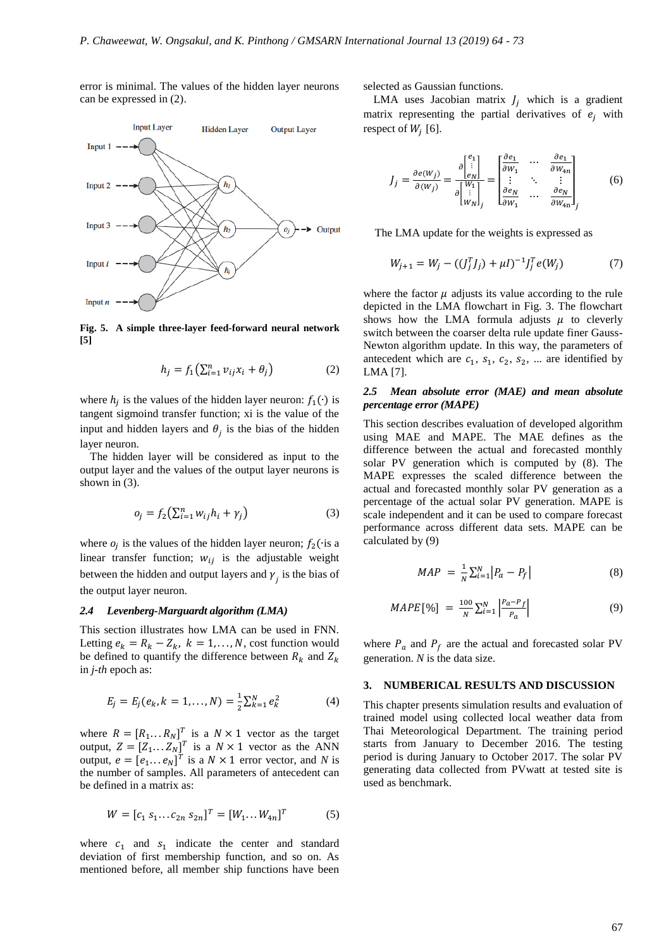error is minimal. The values of the hidden layer neurons can be expressed in (2).



**Fig. 5. A simple three-layer feed-forward neural network [5]**

$$
h_j = f_1 \left( \sum_{i=1}^n v_{ij} x_i + \theta_j \right) \tag{2}
$$

where  $h_i$  is the values of the hidden layer neuron:  $f_1(\cdot)$  is tangent sigmoind transfer function; xi is the value of the input and hidden layers and  $\theta_i$  is the bias of the hidden layer neuron.

The hidden layer will be considered as input to the output layer and the values of the output layer neurons is shown in (3).

$$
o_j = f_2(\sum_{i=1}^n w_{ij}h_i + \gamma_j)
$$
 (3)

where  $o_i$  is the values of the hidden layer neuron;  $f_2$  ( $\cdot$ is a linear transfer function;  $w_{ij}$  is the adjustable weight between the hidden and output layers and  $\gamma$ <sub>j</sub> is the bias of the output layer neuron.

#### *2.4 Levenberg-Marguardt algorithm (LMA)*

This section illustrates how LMA can be used in FNN. Letting  $e_k = R_k - Z_k$ ,  $k = 1, ..., N$ , cost function would be defined to quantify the difference between  $R_k$  and  $Z_k$ in *j-th* epoch as:

$$
E_j = E_j(e_k, k = 1, ..., N) = \frac{1}{2} \sum_{k=1}^{N} e_k^2
$$
 (4)

where  $R = [R_1...R_N]^T$  is a  $N \times 1$  vector as the target output,  $Z = [Z_1...Z_N]^T$  is a  $N \times 1$  vector as the ANN output,  $e = [e_1 \dots e_N]^T$  is a  $N \times 1$  error vector, and N is the number of samples. All parameters of antecedent can be defined in a matrix as:

$$
W = [c_1 \, s_1 \dots c_{2n} \, s_{2n}]^T = [W_1 \dots W_{4n}]^T \tag{5}
$$

where  $c_1$  and  $s_1$  indicate the center and standard deviation of first membership function, and so on. As mentioned before, all member ship functions have been

selected as Gaussian functions.

LMA uses Jacobian matrix  $J_i$  which is a gradient matrix representing the partial derivatives of  $e_i$  with respect of  $W_i$  [6].

$$
J_j = \frac{\partial e(w_j)}{\partial(w_j)} = \frac{\partial \begin{bmatrix} e_1 \\ \vdots \\ e_N \end{bmatrix}}{\partial \begin{bmatrix} w_1 \\ \vdots \\ w_N \end{bmatrix}} = \begin{bmatrix} \frac{\partial e_1}{\partial w_1} & \cdots & \frac{\partial e_1}{\partial w_{4n}} \\ \vdots & \ddots & \vdots \\ \frac{\partial e_N}{\partial w_1} & \cdots & \frac{\partial e_N}{\partial w_{4n}} \end{bmatrix}_j
$$
(6)

The LMA update for the weights is expressed as

$$
W_{j+1} = W_j - ((J_j^T J_j) + \mu I)^{-1} J_j^T e(W_j)
$$
 (7)

where the factor  $\mu$  adjusts its value according to the rule depicted in the LMA flowchart in Fig. 3. The flowchart shows how the LMA formula adjusts  $\mu$  to cleverly switch between the coarser delta rule update finer Gauss-Newton algorithm update. In this way, the parameters of antecedent which are  $c_1$ ,  $s_1$ ,  $c_2$ ,  $s_2$ , ... are identified by LMA [7].

#### *2.5 Mean absolute error (MAE) and mean absolute percentage error (MAPE)*

This section describes evaluation of developed algorithm using MAE and MAPE. The MAE defines as the difference between the actual and forecasted monthly solar PV generation which is computed by (8). The MAPE expresses the scaled difference between the actual and forecasted monthly solar PV generation as a percentage of the actual solar PV generation. MAPE is scale independent and it can be used to compare forecast performance across different data sets. MAPE can be calculated by (9)

$$
MAP = \frac{1}{N} \sum_{i=1}^{N} |P_a - P_f|
$$
 (8)

$$
MAPE[\%] = \frac{100}{N} \sum_{i=1}^{N} \left| \frac{P_a - P_f}{P_a} \right| \tag{9}
$$

where  $P_a$  and  $P_f$  are the actual and forecasted solar PV generation. *N* is the data size.

#### **3. NUMBERICAL RESULTS AND DISCUSSION**

This chapter presents simulation results and evaluation of trained model using collected local weather data from Thai Meteorological Department. The training period starts from January to December 2016. The testing period is during January to October 2017. The solar PV generating data collected from PVwatt at tested site is used as benchmark.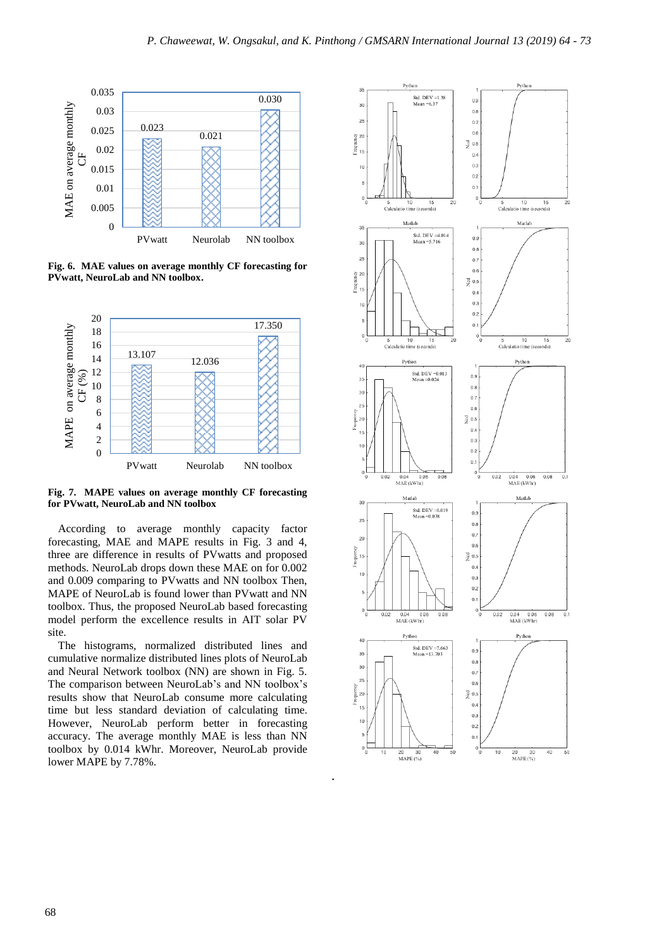

**Fig. 6. MAE values on average monthly CF forecasting for PVwatt, NeuroLab and NN toolbox.**



**Fig. 7. MAPE values on average monthly CF forecasting for PVwatt, NeuroLab and NN toolbox** 

According to average monthly capacity factor forecasting, MAE and MAPE results in Fig. 3 and 4, three are difference in results of PVwatts and proposed methods. NeuroLab drops down these MAE on for 0.002 and 0.009 comparing to PVwatts and NN toolbox Then, MAPE of NeuroLab is found lower than PVwatt and NN toolbox. Thus, the proposed NeuroLab based forecasting model perform the excellence results in AIT solar PV site.

The histograms, normalized distributed lines and cumulative normalize distributed lines plots of NeuroLab and Neural Network toolbox (NN) are shown in Fig. 5. The comparison between NeuroLab's and NN toolbox's results show that NeuroLab consume more calculating time but less standard deviation of calculating time. However, NeuroLab perform better in forecasting accuracy. The average monthly MAE is less than NN toolbox by 0.014 kWhr. Moreover, NeuroLab provide lower MAPE by 7.78%.

.

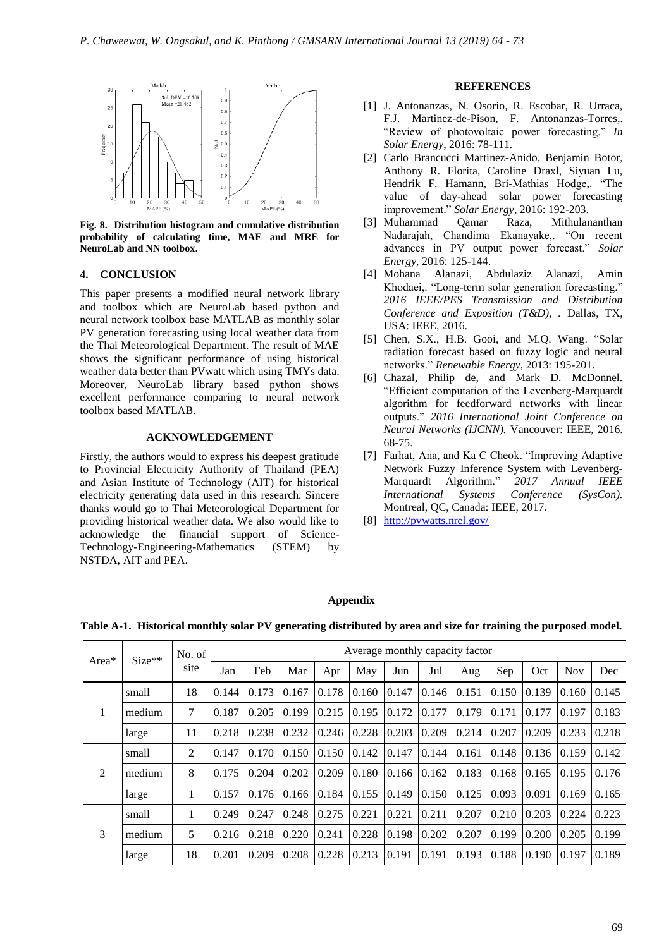

**Fig. 8. Distribution histogram and cumulative distribution probability of calculating time, MAE and MRE for NeuroLab and NN toolbox.**

#### **4. CONCLUSION**

This paper presents a modified neural network library and toolbox which are NeuroLab based python and neural network toolbox base MATLAB as monthly solar PV generation forecasting using local weather data from the Thai Meteorological Department. The result of MAE shows the significant performance of using historical weather data better than PVwatt which using TMYs data. Moreover, NeuroLab library based python shows excellent performance comparing to neural network toolbox based MATLAB.

# **ACKNOWLEDGEMENT**

Firstly, the authors would to express his deepest gratitude to Provincial Electricity Authority of Thailand (PEA) and Asian Institute of Technology (AIT) for historical electricity generating data used in this research. Sincere thanks would go to Thai Meteorological Department for providing historical weather data. We also would like to acknowledge the financial support of Science-Technology-Engineering-Mathematics (STEM) by NSTDA, AIT and PEA.

#### **REFERENCES**

- [1] J. Antonanzas, N. Osorio, R. Escobar, R. Urraca, F.J. Martinez-de-Pison, F. Antonanzas-Torres,. "Review of photovoltaic power forecasting." *In Solar Energy*, 2016: 78-111.
- [2] Carlo Brancucci Martinez-Anido, Benjamin Botor, Anthony R. Florita, Caroline Draxl, Siyuan Lu, Hendrik F. Hamann, Bri-Mathias Hodge,. "The value of day-ahead solar power forecasting improvement." *Solar Energy*, 2016: 192-203.
- [3] Muhammad Qamar Raza, Mithulananthan Nadarajah, Chandima Ekanayake,. "On recent advances in PV output power forecast." *Solar Energy*, 2016: 125-144.
- [4] Mohana Alanazi, Abdulaziz Alanazi, Amin Khodaei,. "Long-term solar generation forecasting." *2016 IEEE/PES Transmission and Distribution Conference and Exposition (T&D), .* Dallas, TX, USA: IEEE, 2016.
- [5] Chen, S.X., H.B. Gooi, and M.Q. Wang. "Solar radiation forecast based on fuzzy logic and neural networks." *Renewable Energy*, 2013: 195-201.
- [6] Chazal, Philip de, and Mark D. McDonnel. "Efficient computation of the Levenberg-Marquardt algorithm for feedforward networks with linear outputs." *2016 International Joint Conference on Neural Networks (IJCNN).* Vancouver: IEEE, 2016. 68-75.
- [7] Farhat, Ana, and Ka C Cheok. "Improving Adaptive Network Fuzzy Inference System with Levenberg-Marquardt Algorithm." *2017 Annual IEEE International Systems Conference (SysCon).* Montreal, QC, Canada: IEEE, 2017.
- [8] <http://pvwatts.nrel.gov/>

#### **Appendix**

**Table A-1. Historical monthly solar PV generating distributed by area and size for training the purposed model.**

| Area* | $Size**$ | No. of |       | Average monthly capacity factor |       |       |       |       |       |       |       |       |            |        |
|-------|----------|--------|-------|---------------------------------|-------|-------|-------|-------|-------|-------|-------|-------|------------|--------|
|       |          | site   | Jan   | Feb                             | Mar   | Apr   | May   | Jun   | Jul   | Aug   | Sep   | Oct   | <b>Nov</b> | Dec    |
|       | small    | 18     | 0.144 | 0.173                           | 0.167 | 0.178 | 0.160 | 0.147 | 0.146 | 0.151 | 0.150 | 0.139 | 0.160      | 0.145  |
|       | medium   | 7      | 0.187 | 0.205                           | 0.199 | 0.215 | 0.195 | 0.172 | 0.177 | 0.179 | 0.171 | 0.177 | 0.197      | 0.183  |
|       | large    | 11     | 0.218 | 0.238                           | 0.232 | 0.246 | 0.228 | 0.203 | 0.209 | 0.214 | 0.207 | 0.209 | 0.233      | 0.218  |
|       | small    | 2      | 0.147 | 0.170                           | 0.150 | 0.150 | 0.142 | 0.147 | 0.144 | 0.161 | 0.148 | 0.136 | 0.159      | 10.142 |
| 2     | medium   | 8      | 0.175 | 0.204                           | 0.202 | 0.209 | 0.180 | 0.166 | 0.162 | 0.183 | 0.168 | 0.165 | 0.195      | 0.176  |
|       | large    | 1      | 0.157 | 0.176                           | 0.166 | 0.184 | 0.155 | 0.149 | 0.150 | 0.125 | 0.093 | 0.091 | 0.169      | 0.165  |
|       | small    | 1      | 0.249 | 0.247                           | 0.248 | 0.275 | 0.221 | 0.221 | 0.211 | 0.207 | 0.210 | 0.203 | 0.224      | 10.223 |
| 3     | medium   | 5      | 0.216 | 0.218                           | 0.220 | 0.241 | 0.228 | 0.198 | 0.202 | 0.207 | 0.199 | 0.200 | 0.205      | 0.199  |
|       | large    | 18     | 0.201 | 0.209                           | 0.208 | 0.228 | 0.213 | 0.191 | 0.191 | 0.193 | 0.188 | 0.190 | 0.197      | 0.189  |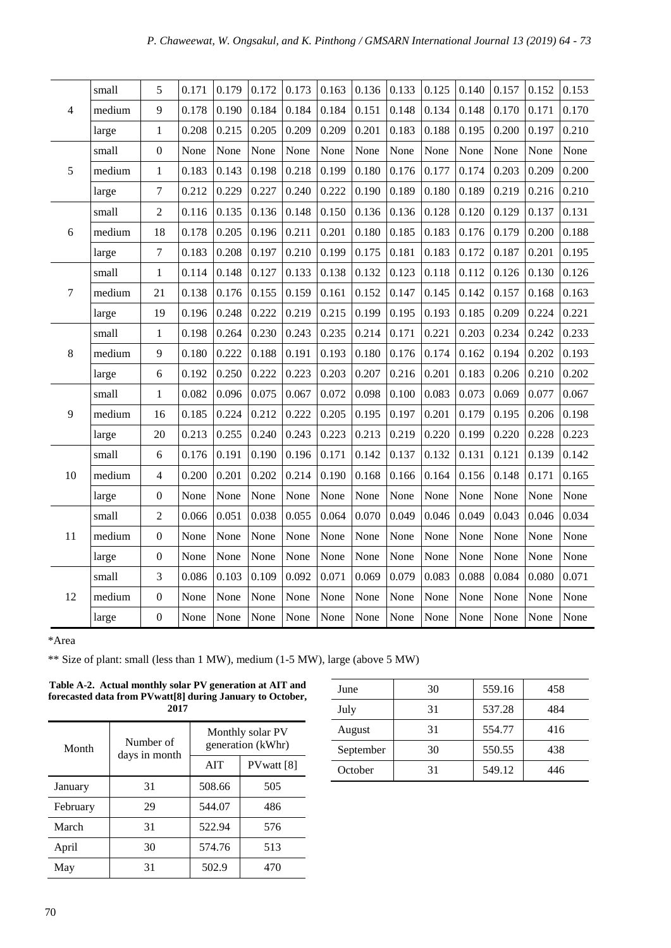|    | small  | 5                | 0.171 | 0.179 | 0.172 | 0.173 | 0.163 | 0.136 | $0.133$ 0.125 |       | 0.140 | 0.157 | 0.152 | 0.153 |
|----|--------|------------------|-------|-------|-------|-------|-------|-------|---------------|-------|-------|-------|-------|-------|
| 4  | medium | 9                | 0.178 | 0.190 | 0.184 | 0.184 | 0.184 | 0.151 | 0.148         | 0.134 | 0.148 | 0.170 | 0.171 | 0.170 |
|    | large  | $\mathbf 1$      | 0.208 | 0.215 | 0.205 | 0.209 | 0.209 | 0.201 | 0.183         | 0.188 | 0.195 | 0.200 | 0.197 | 0.210 |
|    | small  | $\boldsymbol{0}$ | None  | None  | None  | None  | None  | None  | None          | None  | None  | None  | None  | None  |
| 5  | medium | $\mathbf{1}$     | 0.183 | 0.143 | 0.198 | 0.218 | 0.199 | 0.180 | 0.176         | 0.177 | 0.174 | 0.203 | 0.209 | 0.200 |
|    | large  | $\tau$           | 0.212 | 0.229 | 0.227 | 0.240 | 0.222 | 0.190 | 0.189         | 0.180 | 0.189 | 0.219 | 0.216 | 0.210 |
|    | small  | $\overline{c}$   | 0.116 | 0.135 | 0.136 | 0.148 | 0.150 | 0.136 | 0.136         | 0.128 | 0.120 | 0.129 | 0.137 | 0.131 |
| 6  | medium | 18               | 0.178 | 0.205 | 0.196 | 0.211 | 0.201 | 0.180 | 0.185         | 0.183 | 0.176 | 0.179 | 0.200 | 0.188 |
|    | large  | $\tau$           | 0.183 | 0.208 | 0.197 | 0.210 | 0.199 | 0.175 | 0.181         | 0.183 | 0.172 | 0.187 | 0.201 | 0.195 |
|    | small  | $\mathbf{1}$     | 0.114 | 0.148 | 0.127 | 0.133 | 0.138 | 0.132 | 0.123         | 0.118 | 0.112 | 0.126 | 0.130 | 0.126 |
| 7  | medium | 21               | 0.138 | 0.176 | 0.155 | 0.159 | 0.161 | 0.152 | 0.147         | 0.145 | 0.142 | 0.157 | 0.168 | 0.163 |
|    | large  | 19               | 0.196 | 0.248 | 0.222 | 0.219 | 0.215 | 0.199 | 0.195         | 0.193 | 0.185 | 0.209 | 0.224 | 0.221 |
|    | small  | $\mathbf{1}$     | 0.198 | 0.264 | 0.230 | 0.243 | 0.235 | 0.214 | 0.171         | 0.221 | 0.203 | 0.234 | 0.242 | 0.233 |
| 8  | medium | 9                | 0.180 | 0.222 | 0.188 | 0.191 | 0.193 | 0.180 | 0.176         | 0.174 | 0.162 | 0.194 | 0.202 | 0.193 |
|    | large  | 6                | 0.192 | 0.250 | 0.222 | 0.223 | 0.203 | 0.207 | 0.216         | 0.201 | 0.183 | 0.206 | 0.210 | 0.202 |
|    | small  | $\mathbf{1}$     | 0.082 | 0.096 | 0.075 | 0.067 | 0.072 | 0.098 | 0.100         | 0.083 | 0.073 | 0.069 | 0.077 | 0.067 |
| 9  | medium | 16               | 0.185 | 0.224 | 0.212 | 0.222 | 0.205 | 0.195 | 0.197         | 0.201 | 0.179 | 0.195 | 0.206 | 0.198 |
|    | large  | 20               | 0.213 | 0.255 | 0.240 | 0.243 | 0.223 | 0.213 | 0.219         | 0.220 | 0.199 | 0.220 | 0.228 | 0.223 |
|    | small  | 6                | 0.176 | 0.191 | 0.190 | 0.196 | 0.171 | 0.142 | 0.137         | 0.132 | 0.131 | 0.121 | 0.139 | 0.142 |
| 10 | medium | $\overline{4}$   | 0.200 | 0.201 | 0.202 | 0.214 | 0.190 | 0.168 | 0.166         | 0.164 | 0.156 | 0.148 | 0.171 | 0.165 |
|    | large  | $\boldsymbol{0}$ | None  | None  | None  | None  | None  | None  | None          | None  | None  | None  | None  | None  |
|    | small  | $\overline{c}$   | 0.066 | 0.051 | 0.038 | 0.055 | 0.064 | 0.070 | 0.049         | 0.046 | 0.049 | 0.043 | 0.046 | 0.034 |
| 11 | medium | $\boldsymbol{0}$ | None  | None  | None  | None  | None  | None  | None          | None  | None  | None  | None  | None  |
|    | large  | $\boldsymbol{0}$ | None  | None  | None  | None  | None  | None  | None          | None  | None  | None  | None  | None  |
|    | small  | 3                | 0.086 | 0.103 | 0.109 | 0.092 | 0.071 | 0.069 | 0.079         | 0.083 | 0.088 | 0.084 | 0.080 | 0.071 |
| 12 | medium | $\boldsymbol{0}$ | None  | None  | None  | None  | None  | None  | None          | None  | None  | None  | None  | None  |
|    | large  | $\boldsymbol{0}$ | None  | None  | None  | None  | None  | None  | None          | None  | None  | None  | None  | None  |

\*Area

\*\* Size of plant: small (less than 1 MW), medium (1-5 MW), large (above 5 MW)

| Table A-2. Actual monthly solar PV generation at AIT and    |
|-------------------------------------------------------------|
| forecasted data from PV watt [8] during January to October, |
| 2017                                                        |

| Month    | Number of     | Monthly solar PV<br>generation (kWhr) |             |  |  |
|----------|---------------|---------------------------------------|-------------|--|--|
|          | days in month | <b>AIT</b>                            | PV watt [8] |  |  |
| January  | 31            | 508.66                                | 505         |  |  |
| February | 29            | 544.07                                | 486         |  |  |
| March    | 31            | 522.94                                | 576         |  |  |
| April    | 30            | 574.76                                | 513         |  |  |
| May      | 31            | 502.9                                 | 470         |  |  |

| June      | 30 | 559.16 | 458 |
|-----------|----|--------|-----|
| July      | 31 | 537.28 | 484 |
| August    | 31 | 554.77 | 416 |
| September | 30 | 550.55 | 438 |
| October   | 31 | 549.12 | 446 |
|           |    |        |     |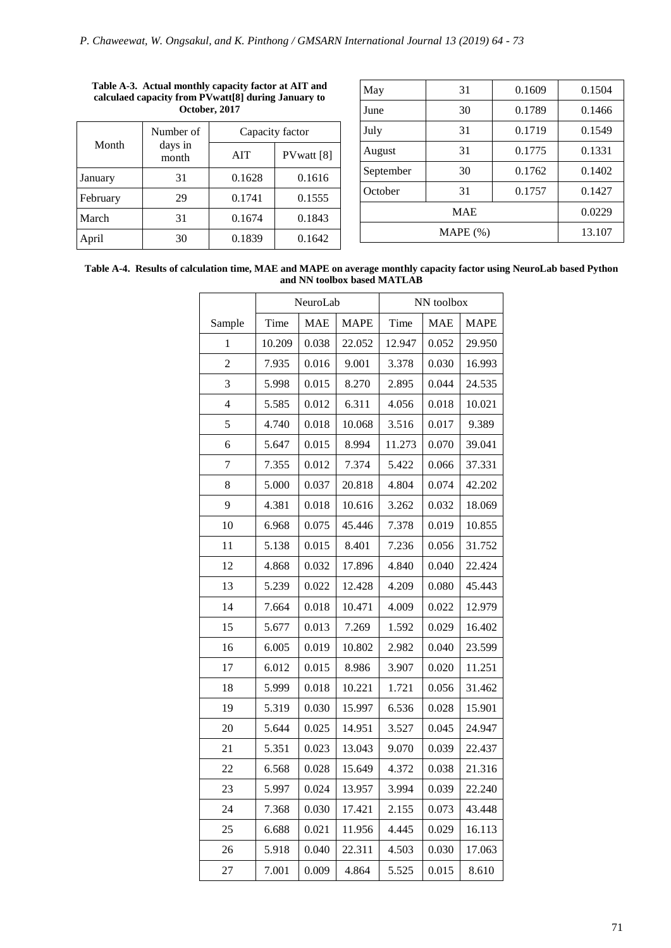|          | Number of        | Capacity factor |                       |  |  |
|----------|------------------|-----------------|-----------------------|--|--|
| Month    | days in<br>month | <b>AIT</b>      | PVwatt <sup>[8]</sup> |  |  |
| January  | 31               | 0.1628          | 0.1616                |  |  |
| February | 29               | 0.1741          | 0.1555                |  |  |
| March    | 31               | 0.1674          | 0.1843                |  |  |
| April    | 30               | 0.1839          | 0.1642                |  |  |

| May       | 31         | 0.1609 | 0.1504 |
|-----------|------------|--------|--------|
| June      | 30         | 0.1789 | 0.1466 |
| July      | 31         | 0.1719 | 0.1549 |
| August    | 31         | 0.1775 | 0.1331 |
| September | 30         | 0.1762 | 0.1402 |
| October   | 31         | 0.1757 | 0.1427 |
|           | <b>MAE</b> |        | 0.0229 |
|           | $MAPE(\%)$ |        | 13.107 |
|           |            |        |        |

#### **Table A-3. Actual monthly capacity factor at AIT and calculaed capacity from PVwatt[8] during January to October, 2017**

**Table A-4. Results of calculation time, MAE and MAPE on average monthly capacity factor using NeuroLab based Python and NN toolbox based MATLAB**

|                |        | NeuroLab   |             |        | NN toolbox |             |
|----------------|--------|------------|-------------|--------|------------|-------------|
| Sample         | Time   | <b>MAE</b> | <b>MAPE</b> | Time   | <b>MAE</b> | <b>MAPE</b> |
| $\mathbf{1}$   | 10.209 | 0.038      | 22.052      | 12.947 | 0.052      | 29.950      |
| $\overline{2}$ | 7.935  | 0.016      | 9.001       | 3.378  | 0.030      | 16.993      |
| 3              | 5.998  | 0.015      | 8.270       | 2.895  | 0.044      | 24.535      |
| $\overline{4}$ | 5.585  | 0.012      | 6.311       | 4.056  | 0.018      | 10.021      |
| 5              | 4.740  | 0.018      | 10.068      | 3.516  | 0.017      | 9.389       |
| 6              | 5.647  | 0.015      | 8.994       | 11.273 | 0.070      | 39.041      |
| $\overline{7}$ | 7.355  | 0.012      | 7.374       | 5.422  | 0.066      | 37.331      |
| 8              | 5.000  | 0.037      | 20.818      | 4.804  | 0.074      | 42.202      |
| 9              | 4.381  | 0.018      | 10.616      | 3.262  | 0.032      | 18.069      |
| 10             | 6.968  | 0.075      | 45.446      | 7.378  | 0.019      | 10.855      |
| 11             | 5.138  | 0.015      | 8.401       | 7.236  | 0.056      | 31.752      |
| 12             | 4.868  | 0.032      | 17.896      | 4.840  | 0.040      | 22.424      |
| 13             | 5.239  | 0.022      | 12.428      | 4.209  | 0.080      | 45.443      |
| 14             | 7.664  | 0.018      | 10.471      | 4.009  | 0.022      | 12.979      |
| 15             | 5.677  | 0.013      | 7.269       | 1.592  | 0.029      | 16.402      |
| 16             | 6.005  | 0.019      | 10.802      | 2.982  | 0.040      | 23.599      |
| 17             | 6.012  | 0.015      | 8.986       | 3.907  | 0.020      | 11.251      |
| 18             | 5.999  | 0.018      | 10.221      | 1.721  | 0.056      | 31.462      |
| 19             | 5.319  | 0.030      | 15.997      | 6.536  | 0.028      | 15.901      |
| 20             | 5.644  | 0.025      | 14.951      | 3.527  | 0.045      | 24.947      |
| 21             | 5.351  | 0.023      | 13.043      | 9.070  | 0.039      | 22.437      |
| 22             | 6.568  | 0.028      | 15.649      | 4.372  | 0.038      | 21.316      |
| 23             | 5.997  | 0.024      | 13.957      | 3.994  | 0.039      | 22.240      |
| 24             | 7.368  | 0.030      | 17.421      | 2.155  | 0.073      | 43.448      |
| 25             | 6.688  | 0.021      | 11.956      | 4.445  | 0.029      | 16.113      |
| 26             | 5.918  | 0.040      | 22.311      | 4.503  | 0.030      | 17.063      |
| 27             | 7.001  | 0.009      | 4.864       | 5.525  | 0.015      | 8.610       |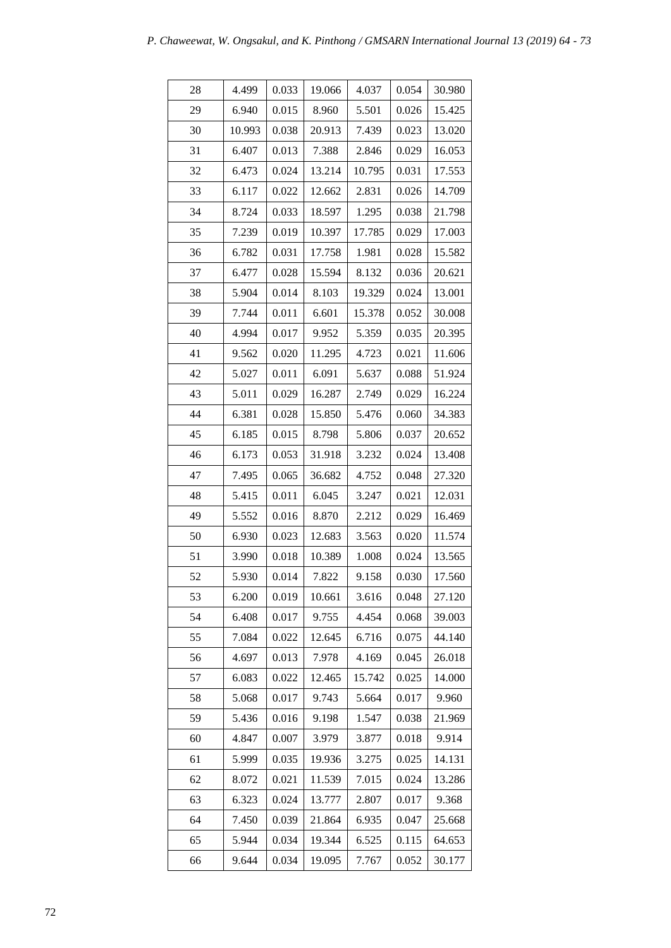| 28 | 4.499  | 0.033 | 19.066 | 4.037  | 0.054 | 30.980 |
|----|--------|-------|--------|--------|-------|--------|
| 29 | 6.940  | 0.015 | 8.960  | 5.501  | 0.026 | 15.425 |
| 30 | 10.993 | 0.038 | 20.913 | 7.439  | 0.023 | 13.020 |
| 31 | 6.407  | 0.013 | 7.388  | 2.846  | 0.029 | 16.053 |
| 32 | 6.473  | 0.024 | 13.214 | 10.795 | 0.031 | 17.553 |
| 33 | 6.117  | 0.022 | 12.662 | 2.831  | 0.026 | 14.709 |
| 34 | 8.724  | 0.033 | 18.597 | 1.295  | 0.038 | 21.798 |
| 35 | 7.239  | 0.019 | 10.397 | 17.785 | 0.029 | 17.003 |
| 36 | 6.782  | 0.031 | 17.758 | 1.981  | 0.028 | 15.582 |
| 37 | 6.477  | 0.028 | 15.594 | 8.132  | 0.036 | 20.621 |
| 38 | 5.904  | 0.014 | 8.103  | 19.329 | 0.024 | 13.001 |
| 39 | 7.744  | 0.011 | 6.601  | 15.378 | 0.052 | 30.008 |
| 40 | 4.994  | 0.017 | 9.952  | 5.359  | 0.035 | 20.395 |
| 41 | 9.562  | 0.020 | 11.295 | 4.723  | 0.021 | 11.606 |
| 42 | 5.027  | 0.011 | 6.091  | 5.637  | 0.088 | 51.924 |
| 43 | 5.011  | 0.029 | 16.287 | 2.749  | 0.029 | 16.224 |
| 44 | 6.381  | 0.028 | 15.850 | 5.476  | 0.060 | 34.383 |
| 45 | 6.185  | 0.015 | 8.798  | 5.806  | 0.037 | 20.652 |
| 46 | 6.173  | 0.053 | 31.918 | 3.232  | 0.024 | 13.408 |
| 47 | 7.495  | 0.065 | 36.682 | 4.752  | 0.048 | 27.320 |
| 48 | 5.415  | 0.011 | 6.045  | 3.247  | 0.021 | 12.031 |
| 49 | 5.552  | 0.016 | 8.870  | 2.212  | 0.029 | 16.469 |
| 50 | 6.930  | 0.023 | 12.683 | 3.563  | 0.020 | 11.574 |
| 51 | 3.990  | 0.018 | 10.389 | 1.008  | 0.024 | 13.565 |
| 52 | 5.930  | 0.014 | 7.822  | 9.158  | 0.030 | 17.560 |
| 53 | 6.200  | 0.019 | 10.661 | 3.616  | 0.048 | 27.120 |
| 54 | 6.408  | 0.017 | 9.755  | 4.454  | 0.068 | 39.003 |
| 55 | 7.084  | 0.022 | 12.645 | 6.716  | 0.075 | 44.140 |
| 56 | 4.697  | 0.013 | 7.978  | 4.169  | 0.045 | 26.018 |
| 57 | 6.083  | 0.022 | 12.465 | 15.742 | 0.025 | 14.000 |
| 58 | 5.068  | 0.017 | 9.743  | 5.664  | 0.017 | 9.960  |
| 59 | 5.436  | 0.016 | 9.198  | 1.547  | 0.038 | 21.969 |
| 60 | 4.847  | 0.007 | 3.979  | 3.877  | 0.018 | 9.914  |
| 61 | 5.999  | 0.035 | 19.936 | 3.275  | 0.025 | 14.131 |
| 62 | 8.072  | 0.021 | 11.539 | 7.015  | 0.024 | 13.286 |
| 63 | 6.323  | 0.024 | 13.777 | 2.807  | 0.017 | 9.368  |
| 64 | 7.450  | 0.039 | 21.864 | 6.935  | 0.047 | 25.668 |
| 65 | 5.944  | 0.034 | 19.344 | 6.525  | 0.115 | 64.653 |
| 66 | 9.644  | 0.034 | 19.095 | 7.767  | 0.052 | 30.177 |